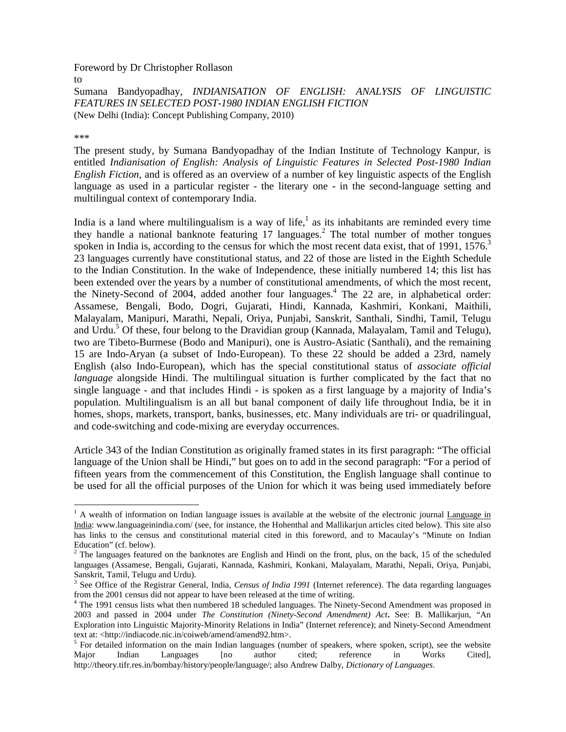Foreword by Dr Christopher Rollason

Sumana Bandyopadhay, *INDIANISATION OF ENGLISH: ANALYSIS OF LINGUISTIC FEATURES IN SELECTED POST-1980 INDIAN ENGLISH FICTION* (New Delhi (India): Concept Publishing Company, 2010)

\*\*\*

 $\overline{a}$ 

to

The present study, by Sumana Bandyopadhay of the Indian Institute of Technology Kanpur, is entitled *Indianisation of English: Analysis of Linguistic Features in Selected Post-1980 Indian English Fiction*, and is offered as an overview of a number of key linguistic aspects of the English language as used in a particular register - the literary one - in the second-language setting and multilingual context of contemporary India.

India is a land where multilingualism is a way of life, $\frac{1}{1}$  as its inhabitants are reminded every time they handle a national banknote featuring  $17$  languages.<sup>2</sup> The total number of mother tongues spoken in India is, according to the census for which the most recent data exist, that of 1991, 1576.<sup>3</sup> 23 languages currently have constitutional status, and 22 of those are listed in the Eighth Schedule to the Indian Constitution. In the wake of Independence, these initially numbered 14; this list has been extended over the years by a number of constitutional amendments, of which the most recent, the Ninety-Second of 2004, added another four languages.<sup>4</sup> The 22 are, in alphabetical order: Assamese, Bengali, Bodo, Dogri, Gujarati, Hindi, Kannada, Kashmiri, Konkani, Maithili, Malayalam, Manipuri, Marathi, Nepali, Oriya, Punjabi, Sanskrit, Santhali, Sindhi, Tamil, Telugu and Urdu.<sup>5</sup> Of these, four belong to the Dravidian group (Kannada, Malayalam, Tamil and Telugu), two are Tibeto-Burmese (Bodo and Manipuri), one is Austro-Asiatic (Santhali), and the remaining 15 are Indo-Aryan (a subset of Indo-European). To these 22 should be added a 23rd, namely English (also Indo-European), which has the special constitutional status of *associate official language* alongside Hindi. The multilingual situation is further complicated by the fact that no single language - and that includes Hindi - is spoken as a first language by a majority of India's population. Multilingualism is an all but banal component of daily life throughout India, be it in homes, shops, markets, transport, banks, businesses, etc. Many individuals are tri- or quadrilingual, and code-switching and code-mixing are everyday occurrences.

Article 343 of the Indian Constitution as originally framed states in its first paragraph: "The official language of the Union shall be Hindi," but goes on to add in the second paragraph: "For a period of fifteen years from the commencement of this Constitution, the English language shall continue to be used for all the official purposes of the Union for which it was being used immediately before

 $<sup>1</sup>$  A wealth of information on Indian language issues is available at the website of the electronic journal Language in</sup> India: www.languageinindia.com/ (see, for instance, the Hohenthal and Mallikarjun articles cited below). This site also has links to the census and constitutional material cited in this foreword, and to Macaulay's "Minute on Indian Education" (cf. below).

 $2$  The languages featured on the banknotes are English and Hindi on the front, plus, on the back, 15 of the scheduled languages (Assamese, Bengali, Gujarati, Kannada, Kashmiri, Konkani, Malayalam, Marathi, Nepali, Oriya, Punjabi, Sanskrit, Tamil, Telugu and Urdu).

<sup>&</sup>lt;sup>3</sup> See Office of the Registrar General, India, *Census of India 1991* (Internet reference). The data regarding languages from the 2001 census did not appear to have been released at the time of writing.

<sup>&</sup>lt;sup>4</sup> The 1991 census lists what then numbered 18 scheduled languages. The Ninety-Second Amendment was proposed in 2003 and passed in 2004 under *The Constitution (Ninety-Second Amendment) Act***.** See: B. Mallikarjun, "An Exploration into Linguistic Majority-Minority Relations in India" (Internet reference); and Ninety-Second Amendment text at: <http://indiacode.nic.in/coiweb/amend/amend92.htm>.

 $<sup>5</sup>$  For detailed information on the main Indian languages (number of speakers, where spoken, script), see the website</sup> Major Indian Languages [no author cited; reference in Works Cited], http://theory.tifr.res.in/bombay/history/people/language/; also Andrew Dalby, *Dictionary of Languages*.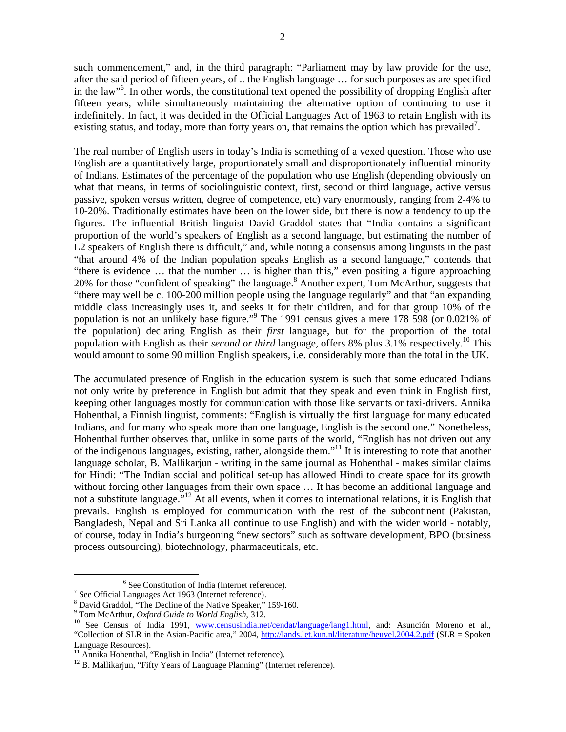such commencement," and, in the third paragraph: "Parliament may by law provide for the use, after the said period of fifteen years, of .. the English language … for such purposes as are specified in the law"6 . In other words, the constitutional text opened the possibility of dropping English after fifteen years, while simultaneously maintaining the alternative option of continuing to use it indefinitely. In fact, it was decided in the Official Languages Act of 1963 to retain English with its existing status, and today, more than forty years on, that remains the option which has prevailed<sup>7</sup>.

The real number of English users in today's India is something of a vexed question. Those who use English are a quantitatively large, proportionately small and disproportionately influential minority of Indians. Estimates of the percentage of the population who use English (depending obviously on what that means, in terms of sociolinguistic context, first, second or third language, active versus passive, spoken versus written, degree of competence, etc) vary enormously, ranging from 2-4% to 10-20%. Traditionally estimates have been on the lower side, but there is now a tendency to up the figures. The influential British linguist David Graddol states that "India contains a significant proportion of the world's speakers of English as a second language, but estimating the number of L2 speakers of English there is difficult," and, while noting a consensus among linguists in the past "that around 4% of the Indian population speaks English as a second language," contends that "there is evidence … that the number … is higher than this," even positing a figure approaching 20% for those "confident of speaking" the language.<sup>8</sup> Another expert, Tom McArthur, suggests that "there may well be c. 100-200 million people using the language regularly" and that "an expanding middle class increasingly uses it, and seeks it for their children, and for that group 10% of the population is not an unlikely base figure."<sup>9</sup> The 1991 census gives a mere 178 598 (or 0.021% of the population) declaring English as their *first* language, but for the proportion of the total population with English as their *second or third* language, offers 8% plus 3.1% respectively.<sup>10</sup> This would amount to some 90 million English speakers, i.e. considerably more than the total in the UK.

The accumulated presence of English in the education system is such that some educated Indians not only write by preference in English but admit that they speak and even think in English first, keeping other languages mostly for communication with those like servants or taxi-drivers. Annika Hohenthal, a Finnish linguist, comments: "English is virtually the first language for many educated Indians, and for many who speak more than one language, English is the second one." Nonetheless, Hohenthal further observes that, unlike in some parts of the world, "English has not driven out any of the indigenous languages, existing, rather, alongside them."<sup>11</sup> It is interesting to note that another language scholar, B. Mallikarjun - writing in the same journal as Hohenthal - makes similar claims for Hindi: "The Indian social and political set-up has allowed Hindi to create space for its growth without forcing other languages from their own space ... It has become an additional language and not a substitute language.<sup>"12</sup> At all events, when it comes to international relations, it is English that prevails. English is employed for communication with the rest of the subcontinent (Pakistan, Bangladesh, Nepal and Sri Lanka all continue to use English) and with the wider world - notably, of course, today in India's burgeoning "new sectors" such as software development, BPO (business process outsourcing), biotechnology, pharmaceuticals, etc.

<sup>&</sup>lt;sup>6</sup> See Constitution of India (Internet reference).<sup>7</sup> See Official Languages Act 1963 (Internet reference).

 $8$  David Graddol, "The Decline of the Native Speaker," 159-160.<br> $9$  Tom McArthur, *Oxford Guide to World English*, 312.

<sup>&</sup>lt;sup>10</sup> See Census of India 1991, www.censusindia.net/cendat/language/lang1.html, and: Asunción Moreno et al., "Collection of SLR in the Asian-Pacific area," 2004, http://lands.let.kun.nl/literature/heuvel.2004.2.pdf (SLR = Spoken Language Resources).<br><sup>11</sup> Annika Hohenthal, "English in India" (Internet reference).

 $12$  B. Mallikarjun, "Fifty Years of Language Planning" (Internet reference).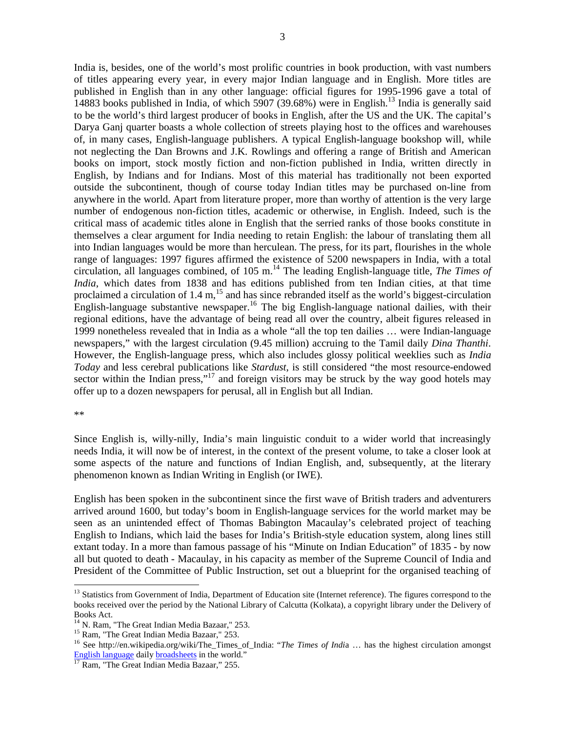India is, besides, one of the world's most prolific countries in book production, with vast numbers of titles appearing every year, in every major Indian language and in English. More titles are published in English than in any other language: official figures for 1995-1996 gave a total of 14883 books published in India, of which 5907 (39.68%) were in English.<sup>13</sup> India is generally said to be the world's third largest producer of books in English, after the US and the UK. The capital's Darya Ganj quarter boasts a whole collection of streets playing host to the offices and warehouses of, in many cases, English-language publishers. A typical English-language bookshop will, while not neglecting the Dan Browns and J.K. Rowlings and offering a range of British and American books on import, stock mostly fiction and non-fiction published in India, written directly in English, by Indians and for Indians. Most of this material has traditionally not been exported outside the subcontinent, though of course today Indian titles may be purchased on-line from anywhere in the world. Apart from literature proper, more than worthy of attention is the very large number of endogenous non-fiction titles, academic or otherwise, in English. Indeed, such is the critical mass of academic titles alone in English that the serried ranks of those books constitute in themselves a clear argument for India needing to retain English: the labour of translating them all into Indian languages would be more than herculean. The press, for its part, flourishes in the whole range of languages: 1997 figures affirmed the existence of 5200 newspapers in India, with a total circulation, all languages combined, of 105 m.<sup>14</sup> The leading English-language title, *The Times of India*, which dates from 1838 and has editions published from ten Indian cities, at that time proclaimed a circulation of 1.4 m,<sup>15</sup> and has since rebranded itself as the world's biggest-circulation English-language substantive newspaper.<sup>16</sup> The big English-language national dailies, with their regional editions, have the advantage of being read all over the country, albeit figures released in 1999 nonetheless revealed that in India as a whole "all the top ten dailies … were Indian-language newspapers," with the largest circulation (9.45 million) accruing to the Tamil daily *Dina Thanthi*. However, the English-language press, which also includes glossy political weeklies such as *India Today* and less cerebral publications like *Stardust*, is still considered "the most resource-endowed sector within the Indian press,"<sup>17</sup> and foreign visitors may be struck by the way good hotels may offer up to a dozen newspapers for perusal, all in English but all Indian.

\*\*

 $\overline{a}$ 

Since English is, willy-nilly, India's main linguistic conduit to a wider world that increasingly needs India, it will now be of interest, in the context of the present volume, to take a closer look at some aspects of the nature and functions of Indian English, and, subsequently, at the literary phenomenon known as Indian Writing in English (or IWE).

English has been spoken in the subcontinent since the first wave of British traders and adventurers arrived around 1600, but today's boom in English-language services for the world market may be seen as an unintended effect of Thomas Babington Macaulay's celebrated project of teaching English to Indians, which laid the bases for India's British-style education system, along lines still extant today. In a more than famous passage of his "Minute on Indian Education" of 1835 - by now all but quoted to death - Macaulay, in his capacity as member of the Supreme Council of India and President of the Committee of Public Instruction, set out a blueprint for the organised teaching of

<sup>&</sup>lt;sup>13</sup> Statistics from Government of India, Department of Education site (Internet reference). The figures correspond to the books received over the period by the National Library of Calcutta (Kolkata), a copyright library under the Delivery of

Books Act.<br><sup>14</sup> N. Ram, "The Great Indian Media Bazaar," 253.

<sup>&</sup>lt;sup>15</sup> Ram, "The Great Indian Media Bazaar," 253. 16<br><sup>16</sup> See http://en.wikipedia.org/wiki/The\_Times\_of\_India: "*The Times of India* … has the highest circulation amongst English language daily broadsheets in the world."<br><sup>17</sup> Ram, "The Great Indian Media Bazaar," 255.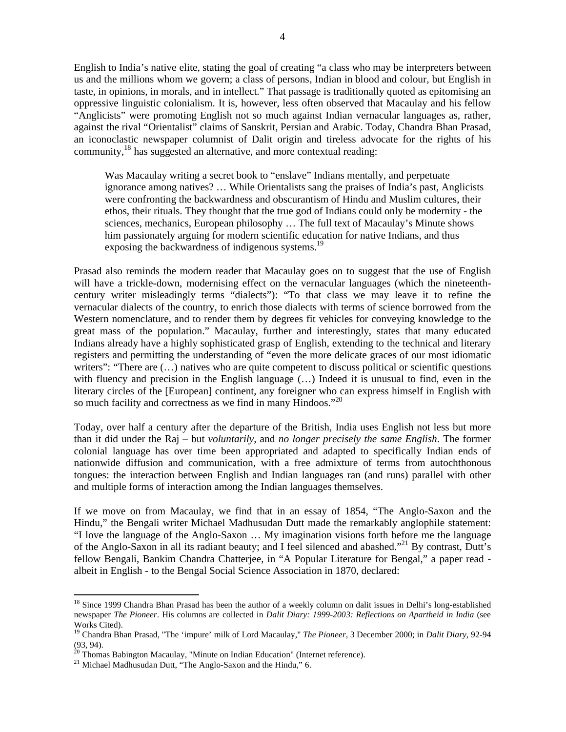English to India's native elite, stating the goal of creating "a class who may be interpreters between us and the millions whom we govern; a class of persons, Indian in blood and colour, but English in taste, in opinions, in morals, and in intellect." That passage is traditionally quoted as epitomising an oppressive linguistic colonialism. It is, however, less often observed that Macaulay and his fellow "Anglicists" were promoting English not so much against Indian vernacular languages as, rather, against the rival "Orientalist" claims of Sanskrit, Persian and Arabic. Today, Chandra Bhan Prasad, an iconoclastic newspaper columnist of Dalit origin and tireless advocate for the rights of his community,<sup>18</sup> has suggested an alternative, and more contextual reading:

Was Macaulay writing a secret book to "enslave" Indians mentally, and perpetuate ignorance among natives? … While Orientalists sang the praises of India's past, Anglicists were confronting the backwardness and obscurantism of Hindu and Muslim cultures, their ethos, their rituals. They thought that the true god of Indians could only be modernity - the sciences, mechanics, European philosophy … The full text of Macaulay's Minute shows him passionately arguing for modern scientific education for native Indians, and thus exposing the backwardness of indigenous systems.<sup>19</sup>

Prasad also reminds the modern reader that Macaulay goes on to suggest that the use of English will have a trickle-down, modernising effect on the vernacular languages (which the nineteenthcentury writer misleadingly terms "dialects"): "To that class we may leave it to refine the vernacular dialects of the country, to enrich those dialects with terms of science borrowed from the Western nomenclature, and to render them by degrees fit vehicles for conveying knowledge to the great mass of the population." Macaulay, further and interestingly, states that many educated Indians already have a highly sophisticated grasp of English, extending to the technical and literary registers and permitting the understanding of "even the more delicate graces of our most idiomatic writers": "There are  $(\ldots)$  natives who are quite competent to discuss political or scientific questions with fluency and precision in the English language (…) Indeed it is unusual to find, even in the literary circles of the [European] continent, any foreigner who can express himself in English with so much facility and correctness as we find in many Hindoos."<sup>20</sup>

Today, over half a century after the departure of the British, India uses English not less but more than it did under the Raj – but *voluntarily*, and *no longer precisely the same English*. The former colonial language has over time been appropriated and adapted to specifically Indian ends of nationwide diffusion and communication, with a free admixture of terms from autochthonous tongues: the interaction between English and Indian languages ran (and runs) parallel with other and multiple forms of interaction among the Indian languages themselves.

If we move on from Macaulay, we find that in an essay of 1854, "The Anglo-Saxon and the Hindu," the Bengali writer Michael Madhusudan Dutt made the remarkably anglophile statement: "I love the language of the Anglo-Saxon … My imagination visions forth before me the language of the Anglo-Saxon in all its radiant beauty; and I feel silenced and abashed."21 By contrast, Dutt's fellow Bengali, Bankim Chandra Chatterjee, in "A Popular Literature for Bengal," a paper read albeit in English - to the Bengal Social Science Association in 1870, declared:

<sup>&</sup>lt;sup>18</sup> Since 1999 Chandra Bhan Prasad has been the author of a weekly column on dalit issues in Delhi's long-established newspaper *The Pioneer*. His columns are collected in *Dalit Diary: 1999-2003: Reflections on Apartheid in India* (see Works Cited).

<sup>19</sup> Chandra Bhan Prasad, "The 'impure' milk of Lord Macaulay," *The Pioneer*, 3 December 2000; in *Dalit Diary*, 92-94 (93, 94).

<sup>&</sup>lt;sup>20</sup> Thomas Babington Macaulay, "Minute on Indian Education" (Internet reference).<br><sup>21</sup> Michael Madhusudan Dutt, "The Anglo-Saxon and the Hindu," 6.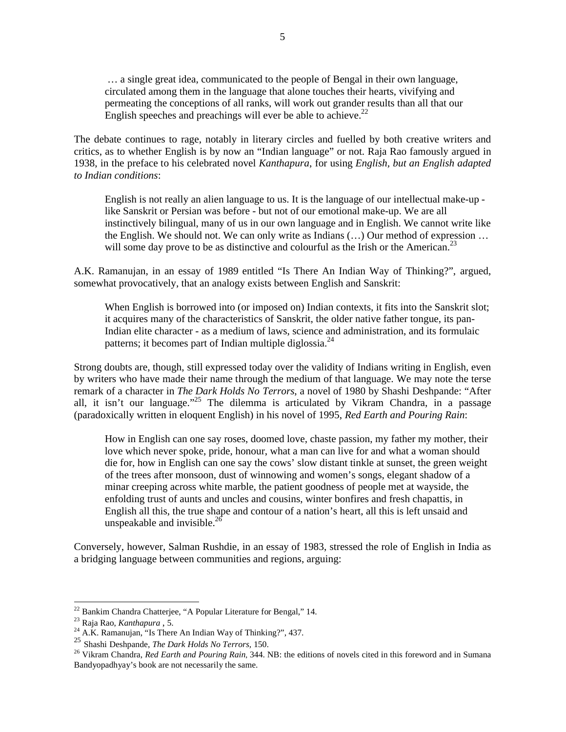… a single great idea, communicated to the people of Bengal in their own language, circulated among them in the language that alone touches their hearts, vivifying and permeating the conceptions of all ranks, will work out grander results than all that our English speeches and preachings will ever be able to achieve.<sup>22</sup>

The debate continues to rage, notably in literary circles and fuelled by both creative writers and critics, as to whether English is by now an "Indian language" or not. Raja Rao famously argued in 1938, in the preface to his celebrated novel *Kanthapura*, for using *English, but an English adapted to Indian conditions*:

English is not really an alien language to us. It is the language of our intellectual make-up like Sanskrit or Persian was before - but not of our emotional make-up. We are all instinctively bilingual, many of us in our own language and in English. We cannot write like the English. We should not. We can only write as Indians (…) Our method of expression … will some day prove to be as distinctive and colourful as the Irish or the American.<sup>23</sup>

A.K. Ramanujan, in an essay of 1989 entitled "Is There An Indian Way of Thinking?", argued, somewhat provocatively, that an analogy exists between English and Sanskrit:

When English is borrowed into (or imposed on) Indian contexts, it fits into the Sanskrit slot; it acquires many of the characteristics of Sanskrit, the older native father tongue, its pan-Indian elite character - as a medium of laws, science and administration, and its formulaic patterns; it becomes part of Indian multiple diglossia.<sup>24</sup>

Strong doubts are, though, still expressed today over the validity of Indians writing in English, even by writers who have made their name through the medium of that language. We may note the terse remark of a character in *The Dark Holds No Terrors*, a novel of 1980 by Shashi Deshpande: "After all, it isn't our language."<sup>25</sup> The dilemma is articulated by Vikram Chandra, in a passage (paradoxically written in eloquent English) in his novel of 1995, *Red Earth and Pouring Rain*:

How in English can one say roses, doomed love, chaste passion, my father my mother, their love which never spoke, pride, honour, what a man can live for and what a woman should die for, how in English can one say the cows' slow distant tinkle at sunset, the green weight of the trees after monsoon, dust of winnowing and women's songs, elegant shadow of a minar creeping across white marble, the patient goodness of people met at wayside, the enfolding trust of aunts and uncles and cousins, winter bonfires and fresh chapattis, in English all this, the true shape and contour of a nation's heart, all this is left unsaid and unspeakable and invisible.<sup>26</sup>

Conversely, however, Salman Rushdie, in an essay of 1983, stressed the role of English in India as a bridging language between communities and regions, arguing:

 $\overline{a}$ 

 $22$  Bankim Chandra Chatterjee, "A Popular Literature for Bengal," 14.

<sup>&</sup>lt;sup>23</sup> Raja Rao, *Kanthapura* , 5.<br><sup>24</sup> A.K. Ramanujan, "Is There An Indian Way of Thinking?", 437.

<sup>25</sup> Shashi Deshpande, *The Dark Holds No Terrors,* 150.

<sup>&</sup>lt;sup>26</sup> Vikram Chandra, *Red Earth and Pouring Rain*, 344. NB: the editions of novels cited in this foreword and in Sumana Bandyopadhyay's book are not necessarily the same.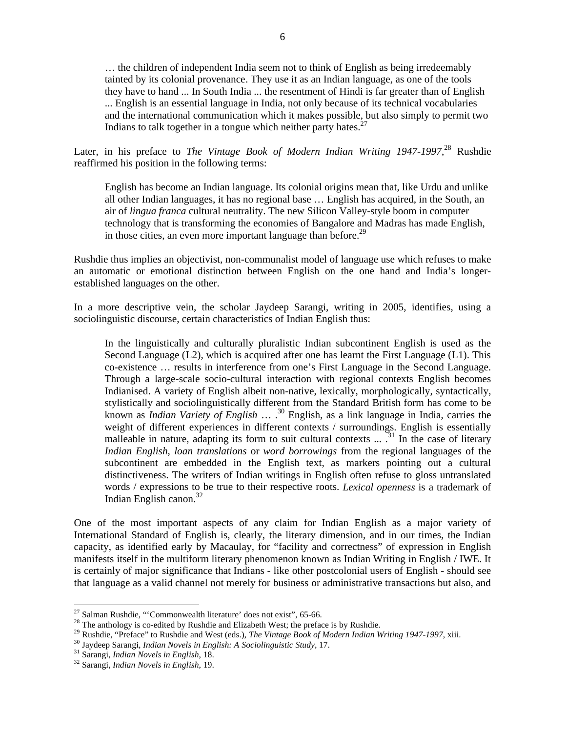… the children of independent India seem not to think of English as being irredeemably tainted by its colonial provenance. They use it as an Indian language, as one of the tools they have to hand ... In South India ... the resentment of Hindi is far greater than of English ... English is an essential language in India, not only because of its technical vocabularies and the international communication which it makes possible, but also simply to permit two Indians to talk together in a tongue which neither party hates. $27$ 

Later, in his preface to *The Vintage Book of Modern Indian Writing 1947-1997*, <sup>28</sup> Rushdie reaffirmed his position in the following terms:

English has become an Indian language. Its colonial origins mean that, like Urdu and unlike all other Indian languages, it has no regional base … English has acquired, in the South, an air of *lingua franca* cultural neutrality. The new Silicon Valley-style boom in computer technology that is transforming the economies of Bangalore and Madras has made English, in those cities, an even more important language than before.<sup>29</sup>

Rushdie thus implies an objectivist, non-communalist model of language use which refuses to make an automatic or emotional distinction between English on the one hand and India's longerestablished languages on the other.

In a more descriptive vein, the scholar Jaydeep Sarangi, writing in 2005, identifies, using a sociolinguistic discourse, certain characteristics of Indian English thus:

In the linguistically and culturally pluralistic Indian subcontinent English is used as the Second Language (L2), which is acquired after one has learnt the First Language (L1). This co-existence … results in interference from one's First Language in the Second Language. Through a large-scale socio-cultural interaction with regional contexts English becomes Indianised. A variety of English albeit non-native, lexically, morphologically, syntactically, stylistically and sociolinguistically different from the Standard British form has come to be known as *Indian Variety of English* … .<sup>30</sup> English, as a link language in India, carries the weight of different experiences in different contexts / surroundings. English is essentially malleable in nature, adapting its form to suit cultural contexts  $\ldots$ .<sup>31</sup> In the case of literary *Indian English*, *loan translations* or *word borrowings* from the regional languages of the subcontinent are embedded in the English text, as markers pointing out a cultural distinctiveness. The writers of Indian writings in English often refuse to gloss untranslated words / expressions to be true to their respective roots. *Lexical openness* is a trademark of Indian English canon.<sup>32</sup>

One of the most important aspects of any claim for Indian English as a major variety of International Standard of English is, clearly, the literary dimension, and in our times, the Indian capacity, as identified early by Macaulay, for "facility and correctness" of expression in English manifests itself in the multiform literary phenomenon known as Indian Writing in English / IWE. It is certainly of major significance that Indians - like other postcolonial users of English - should see that language as a valid channel not merely for business or administrative transactions but also, and

<sup>&</sup>lt;sup>27</sup> Salman Rushdie, "Commonwealth literature' does not exist", 65-66.

<sup>&</sup>lt;sup>28</sup> The anthology is co-edited by Rushdie and Elizabeth West; the preface is by Rushdie.<br><sup>29</sup> Rushdie, "Preface" to Rushdie and West (eds.), *The Vintage Book of Modern Indian Writing 1947-1997*, xiii.<br><sup>30</sup> Jaydeep Saran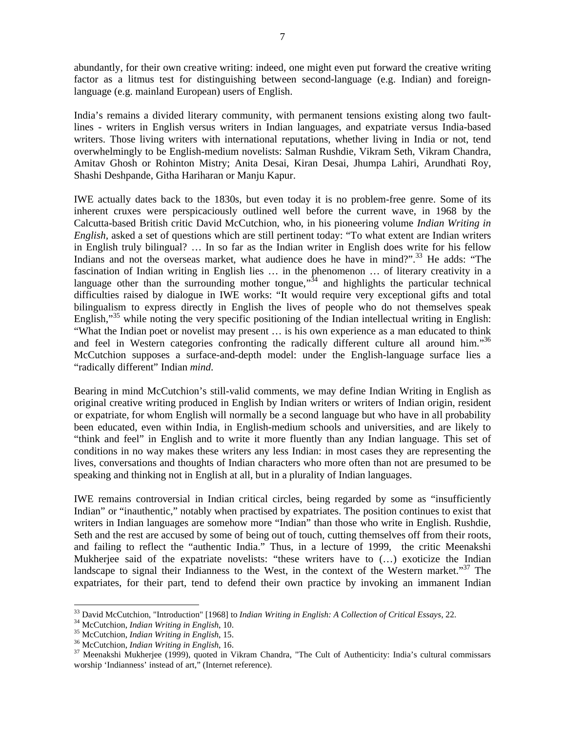abundantly, for their own creative writing: indeed, one might even put forward the creative writing factor as a litmus test for distinguishing between second-language (e.g. Indian) and foreignlanguage (e.g. mainland European) users of English.

India's remains a divided literary community, with permanent tensions existing along two faultlines - writers in English versus writers in Indian languages, and expatriate versus India-based writers. Those living writers with international reputations, whether living in India or not, tend overwhelmingly to be English-medium novelists: Salman Rushdie, Vikram Seth, Vikram Chandra, Amitav Ghosh or Rohinton Mistry; Anita Desai, Kiran Desai, Jhumpa Lahiri, Arundhati Roy, Shashi Deshpande, Githa Hariharan or Manju Kapur.

IWE actually dates back to the 1830s, but even today it is no problem-free genre. Some of its inherent cruxes were perspicaciously outlined well before the current wave, in 1968 by the Calcutta-based British critic David McCutchion, who, in his pioneering volume *Indian Writing in English,* asked a set of questions which are still pertinent today: "To what extent are Indian writers in English truly bilingual? … In so far as the Indian writer in English does write for his fellow Indians and not the overseas market, what audience does he have in mind?".<sup>33</sup> He adds: "The fascination of Indian writing in English lies … in the phenomenon … of literary creativity in a language other than the surrounding mother tongue,  $\frac{3}{4}$  and highlights the particular technical difficulties raised by dialogue in IWE works: "It would require very exceptional gifts and total bilingualism to express directly in English the lives of people who do not themselves speak English,"<sup>35</sup> while noting the very specific positioning of the Indian intellectual writing in English: "What the Indian poet or novelist may present … is his own experience as a man educated to think and feel in Western categories confronting the radically different culture all around him."36 McCutchion supposes a surface-and-depth model: under the English-language surface lies a "radically different" Indian *mind*.

Bearing in mind McCutchion's still-valid comments, we may define Indian Writing in English as original creative writing produced in English by Indian writers or writers of Indian origin, resident or expatriate, for whom English will normally be a second language but who have in all probability been educated, even within India, in English-medium schools and universities, and are likely to "think and feel" in English and to write it more fluently than any Indian language. This set of conditions in no way makes these writers any less Indian: in most cases they are representing the lives, conversations and thoughts of Indian characters who more often than not are presumed to be speaking and thinking not in English at all, but in a plurality of Indian languages.

IWE remains controversial in Indian critical circles, being regarded by some as "insufficiently Indian" or "inauthentic," notably when practised by expatriates. The position continues to exist that writers in Indian languages are somehow more "Indian" than those who write in English. Rushdie, Seth and the rest are accused by some of being out of touch, cutting themselves off from their roots, and failing to reflect the "authentic India." Thus, in a lecture of 1999, the critic Meenakshi Mukherjee said of the expatriate novelists: "these writers have to (…) exoticize the Indian landscape to signal their Indianness to the West, in the context of the Western market."<sup>37</sup> The expatriates, for their part, tend to defend their own practice by invoking an immanent Indian

<sup>&</sup>lt;sup>33</sup> David McCutchion, "Introduction" [1968] to Indian Writing in English: A Collection of Critical Essays, 22.

<sup>&</sup>lt;sup>34</sup> McCutchion, *Indian Writing in English*, 10.<br><sup>35</sup> McCutchion, *Indian Writing in English*, 15.<br><sup>36</sup> McCutchion, *Indian Writing in English*, 16.<br><sup>37</sup> Meenakshi Mukherjee (1999), quoted in Vikram Chandra, "The Cult of worship 'Indianness' instead of art," (Internet reference).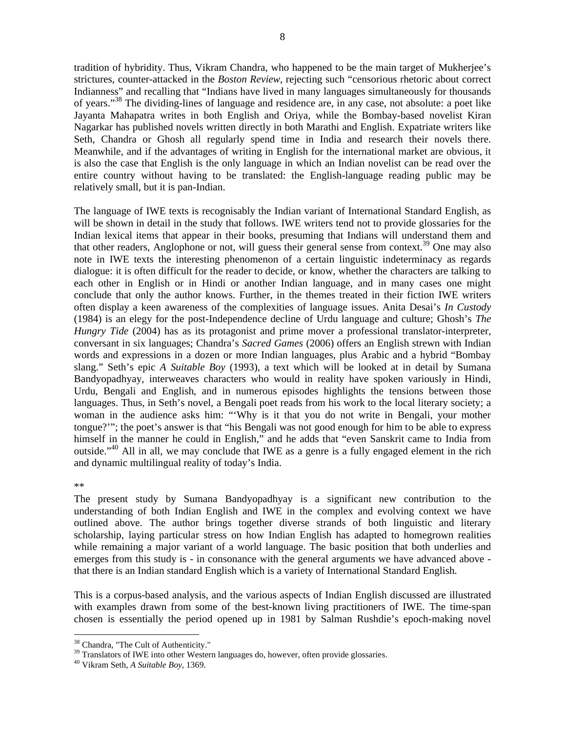tradition of hybridity. Thus, Vikram Chandra, who happened to be the main target of Mukherjee's strictures, counter-attacked in the *Boston Review*, rejecting such "censorious rhetoric about correct Indianness" and recalling that "Indians have lived in many languages simultaneously for thousands of years."<sup>38</sup> The dividing-lines of language and residence are, in any case, not absolute: a poet like Jayanta Mahapatra writes in both English and Oriya, while the Bombay-based novelist Kiran Nagarkar has published novels written directly in both Marathi and English. Expatriate writers like Seth, Chandra or Ghosh all regularly spend time in India and research their novels there. Meanwhile, and if the advantages of writing in English for the international market are obvious, it is also the case that English is the only language in which an Indian novelist can be read over the entire country without having to be translated: the English-language reading public may be relatively small, but it is pan-Indian.

The language of IWE texts is recognisably the Indian variant of International Standard English, as will be shown in detail in the study that follows. IWE writers tend not to provide glossaries for the Indian lexical items that appear in their books, presuming that Indians will understand them and that other readers, Anglophone or not, will guess their general sense from context.<sup>39</sup> One may also note in IWE texts the interesting phenomenon of a certain linguistic indeterminacy as regards dialogue: it is often difficult for the reader to decide, or know, whether the characters are talking to each other in English or in Hindi or another Indian language, and in many cases one might conclude that only the author knows. Further, in the themes treated in their fiction IWE writers often display a keen awareness of the complexities of language issues. Anita Desai's *In Custody* (1984) is an elegy for the post-Independence decline of Urdu language and culture; Ghosh's *The Hungry Tide* (2004) has as its protagonist and prime mover a professional translator-interpreter, conversant in six languages; Chandra's *Sacred Games* (2006) offers an English strewn with Indian words and expressions in a dozen or more Indian languages, plus Arabic and a hybrid "Bombay slang." Seth's epic *A Suitable Boy* (1993), a text which will be looked at in detail by Sumana Bandyopadhyay, interweaves characters who would in reality have spoken variously in Hindi, Urdu, Bengali and English, and in numerous episodes highlights the tensions between those languages. Thus, in Seth's novel, a Bengali poet reads from his work to the local literary society; a woman in the audience asks him: "'Why is it that you do not write in Bengali, your mother tongue?'"; the poet's answer is that "his Bengali was not good enough for him to be able to express himself in the manner he could in English," and he adds that "even Sanskrit came to India from outside."<sup>40</sup> All in all, we may conclude that IWE as a genre is a fully engaged element in the rich and dynamic multilingual reality of today's India.

## \*\*

 $\overline{a}$ 

The present study by Sumana Bandyopadhyay is a significant new contribution to the understanding of both Indian English and IWE in the complex and evolving context we have outlined above. The author brings together diverse strands of both linguistic and literary scholarship, laying particular stress on how Indian English has adapted to homegrown realities while remaining a major variant of a world language. The basic position that both underlies and emerges from this study is - in consonance with the general arguments we have advanced above that there is an Indian standard English which is a variety of International Standard English.

This is a corpus-based analysis, and the various aspects of Indian English discussed are illustrated with examples drawn from some of the best-known living practitioners of IWE. The time-span chosen is essentially the period opened up in 1981 by Salman Rushdie's epoch-making novel

<sup>38</sup> Chandra, "The Cult of Authenticity." <sup>39</sup> Translators of IWE into other Western languages do, however, often provide glossaries. <sup>40</sup> Vikram Seth, *A Suitable Boy*, 1369.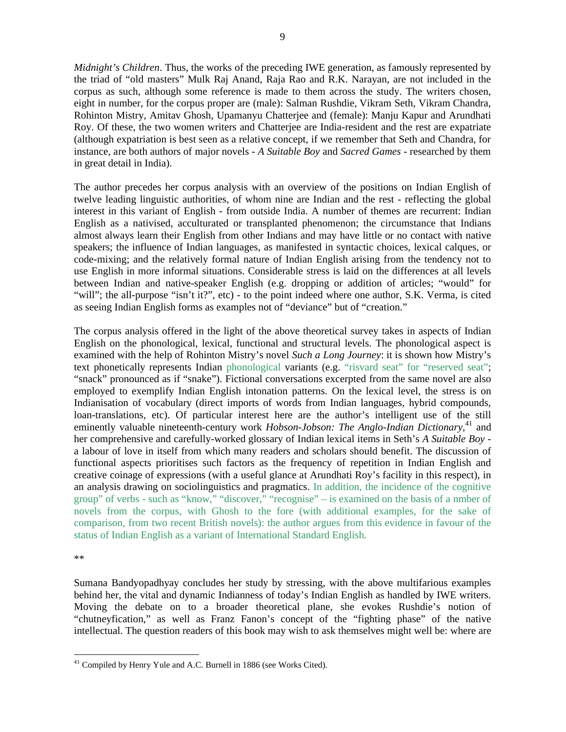*Midnight's Children*. Thus, the works of the preceding IWE generation, as famously represented by the triad of "old masters" Mulk Raj Anand, Raja Rao and R.K. Narayan, are not included in the corpus as such, although some reference is made to them across the study. The writers chosen, eight in number, for the corpus proper are (male): Salman Rushdie, Vikram Seth, Vikram Chandra, Rohinton Mistry, Amitav Ghosh, Upamanyu Chatterjee and (female): Manju Kapur and Arundhati Roy. Of these, the two women writers and Chatterjee are India-resident and the rest are expatriate (although expatriation is best seen as a relative concept, if we remember that Seth and Chandra, for instance, are both authors of major novels - *A Suitable Boy* and *Sacred Games* - researched by them in great detail in India).

The author precedes her corpus analysis with an overview of the positions on Indian English of twelve leading linguistic authorities, of whom nine are Indian and the rest - reflecting the global interest in this variant of English - from outside India. A number of themes are recurrent: Indian English as a nativised, acculturated or transplanted phenomenon; the circumstance that Indians almost always learn their English from other Indians and may have little or no contact with native speakers; the influence of Indian languages, as manifested in syntactic choices, lexical calques, or code-mixing; and the relatively formal nature of Indian English arising from the tendency not to use English in more informal situations. Considerable stress is laid on the differences at all levels between Indian and native-speaker English (e.g. dropping or addition of articles; "would" for "will"; the all-purpose "isn't it?", etc) - to the point indeed where one author, S.K. Verma, is cited as seeing Indian English forms as examples not of "deviance" but of "creation."

The corpus analysis offered in the light of the above theoretical survey takes in aspects of Indian English on the phonological, lexical, functional and structural levels. The phonological aspect is examined with the help of Rohinton Mistry's novel *Such a Long Journey*: it is shown how Mistry's text phonetically represents Indian phonological variants (e.g. "risvard seat" for "reserved seat"; "snack" pronounced as if "snake"). Fictional conversations excerpted from the same novel are also employed to exemplify Indian English intonation patterns. On the lexical level, the stress is on Indianisation of vocabulary (direct imports of words from Indian languages, hybrid compounds, loan-translations, etc). Of particular interest here are the author's intelligent use of the still eminently valuable nineteenth-century work *Hobson-Jobson: The Anglo-Indian Dictionary*,<sup>41</sup> and her comprehensive and carefully-worked glossary of Indian lexical items in Seth's *A Suitable Boy* a labour of love in itself from which many readers and scholars should benefit. The discussion of functional aspects prioritises such factors as the frequency of repetition in Indian English and creative coinage of expressions (with a useful glance at Arundhati Roy's facility in this respect), in an analysis drawing on sociolinguistics and pragmatics. In addition, the incidence of the cognitive group" of verbs - such as "know," "discover," "recognise" – is examined on the basis of a nmber of novels from the corpus, with Ghosh to the fore (with additional examples, for the sake of comparison, from two recent British novels): the author argues from this evidence in favour of the status of Indian English as a variant of International Standard English.

\*\*

 $\overline{a}$ 

Sumana Bandyopadhyay concludes her study by stressing, with the above multifarious examples behind her, the vital and dynamic Indianness of today's Indian English as handled by IWE writers. Moving the debate on to a broader theoretical plane, she evokes Rushdie's notion of "chutneyfication," as well as Franz Fanon's concept of the "fighting phase" of the native intellectual. The question readers of this book may wish to ask themselves might well be: where are

<sup>&</sup>lt;sup>41</sup> Compiled by Henry Yule and A.C. Burnell in 1886 (see Works Cited).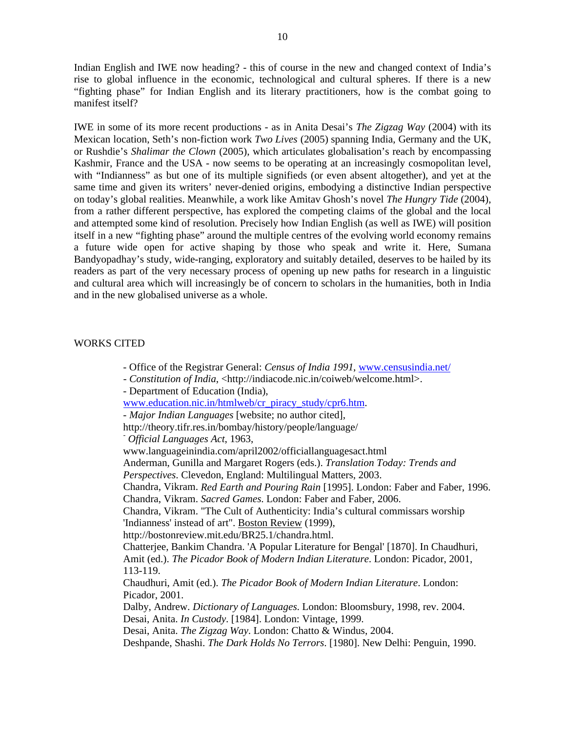Indian English and IWE now heading? - this of course in the new and changed context of India's rise to global influence in the economic, technological and cultural spheres. If there is a new "fighting phase" for Indian English and its literary practitioners, how is the combat going to manifest itself?

IWE in some of its more recent productions - as in Anita Desai's *The Zigzag Way* (2004) with its Mexican location, Seth's non-fiction work *Two Lives* (2005) spanning India, Germany and the UK, or Rushdie's *Shalimar the Clown* (2005), which articulates globalisation's reach by encompassing Kashmir, France and the USA - now seems to be operating at an increasingly cosmopolitan level, with "Indianness" as but one of its multiple signifieds (or even absent altogether), and yet at the same time and given its writers' never-denied origins, embodying a distinctive Indian perspective on today's global realities. Meanwhile, a work like Amitav Ghosh's novel *The Hungry Tide* (2004), from a rather different perspective, has explored the competing claims of the global and the local and attempted some kind of resolution. Precisely how Indian English (as well as IWE) will position itself in a new "fighting phase" around the multiple centres of the evolving world economy remains a future wide open for active shaping by those who speak and write it. Here, Sumana Bandyopadhay's study, wide-ranging, exploratory and suitably detailed, deserves to be hailed by its readers as part of the very necessary process of opening up new paths for research in a linguistic and cultural area which will increasingly be of concern to scholars in the humanities, both in India and in the new globalised universe as a whole.

## WORKS CITED

- Office of the Registrar General: *Census of India 1991*, www.censusindia.net/
- *Constitution of India*, <http://indiacode.nic.in/coiweb/welcome.html>.
- Department of Education (India),

www.education.nic.in/htmlweb/cr\_piracy\_study/cpr6.htm.

- *Major Indian Languages* [website; no author cited],
- http://theory.tifr.res.in/bombay/history/people/language/

- *Official Languages Act*, 1963,

www.languageinindia.com/april2002/officiallanguagesact.html

Anderman, Gunilla and Margaret Rogers (eds.). *Translation Today: Trends and Perspectives*. Clevedon, England: Multilingual Matters, 2003.

Chandra, Vikram. *Red Earth and Pouring Rain* [1995]. London: Faber and Faber, 1996. Chandra, Vikram. *Sacred Games*. London: Faber and Faber, 2006.

Chandra, Vikram. "The Cult of Authenticity: India's cultural commissars worship 'Indianness' instead of art". Boston Review (1999),

http://bostonreview.mit.edu/BR25.1/chandra.html.

Chatterjee, Bankim Chandra. 'A Popular Literature for Bengal' [1870]. In Chaudhuri, Amit (ed.). *The Picador Book of Modern Indian Literature*. London: Picador, 2001, 113-119.

Chaudhuri, Amit (ed.). *The Picador Book of Modern Indian Literature*. London: Picador, 2001.

Dalby, Andrew. *Dictionary of Languages*. London: Bloomsbury, 1998, rev. 2004. Desai, Anita. *In Custody*. [1984]. London: Vintage, 1999.

Desai, Anita. *The Zigzag Way*. London: Chatto & Windus, 2004.

Deshpande, Shashi. *The Dark Holds No Terrors*. [1980]. New Delhi: Penguin, 1990.